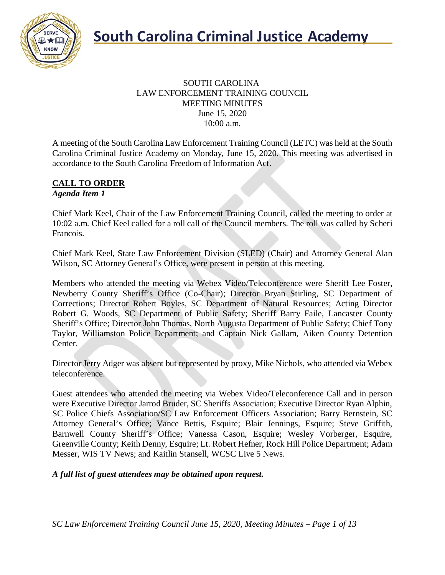

#### SOUTH CAROLINA LAW ENFORCEMENT TRAINING COUNCIL MEETING MINUTES June 15, 2020 10:00 a.m.

A meeting of the South Carolina Law Enforcement Training Council (LETC) was held at the South Carolina Criminal Justice Academy on Monday, June 15, 2020. This meeting was advertised in accordance to the South Carolina Freedom of Information Act.

#### **CALL TO ORDER** *Agenda Item 1*

Chief Mark Keel, Chair of the Law Enforcement Training Council, called the meeting to order at 10:02 a.m. Chief Keel called for a roll call of the Council members. The roll was called by Scheri Francois.

Chief Mark Keel, State Law Enforcement Division (SLED) (Chair) and Attorney General Alan Wilson, SC Attorney General's Office, were present in person at this meeting.

Members who attended the meeting via Webex Video/Teleconference were Sheriff Lee Foster, Newberry County Sheriff's Office (Co-Chair); Director Bryan Stirling, SC Department of Corrections; Director Robert Boyles, SC Department of Natural Resources; Acting Director Robert G. Woods, SC Department of Public Safety; Sheriff Barry Faile, Lancaster County Sheriff's Office; Director John Thomas, North Augusta Department of Public Safety; Chief Tony Taylor, Williamston Police Department; and Captain Nick Gallam, Aiken County Detention Center.

Director Jerry Adger was absent but represented by proxy, Mike Nichols, who attended via Webex teleconference.

Guest attendees who attended the meeting via Webex Video/Teleconference Call and in person were Executive Director Jarrod Bruder, SC Sheriffs Association; Executive Director Ryan Alphin, SC Police Chiefs Association/SC Law Enforcement Officers Association; Barry Bernstein, SC Attorney General's Office; Vance Bettis, Esquire; Blair Jennings, Esquire; Steve Griffith, Barnwell County Sheriff's Office; Vanessa Cason, Esquire; Wesley Vorberger, Esquire, Greenville County; Keith Denny, Esquire; Lt. Robert Hefner, Rock Hill Police Department; Adam Messer, WIS TV News; and Kaitlin Stansell, WCSC Live 5 News.

*A full list of guest attendees may be obtained upon request.*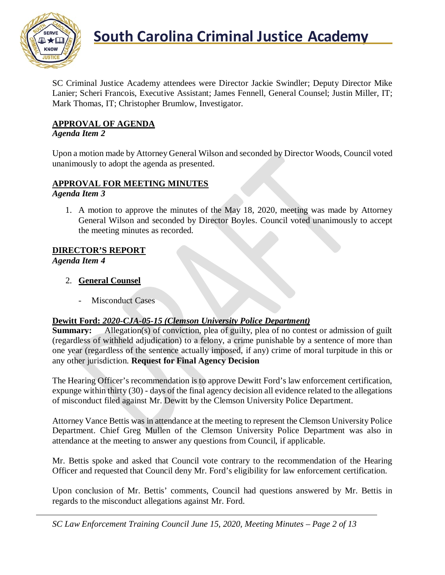

SC Criminal Justice Academy attendees were Director Jackie Swindler; Deputy Director Mike Lanier; Scheri Francois, Executive Assistant; James Fennell, General Counsel; Justin Miller, IT; Mark Thomas, IT; Christopher Brumlow, Investigator.

## **APPROVAL OF AGENDA**

## *Agenda Item 2*

Upon a motion made by Attorney General Wilson and seconded by Director Woods, Council voted unanimously to adopt the agenda as presented.

## **APPROVAL FOR MEETING MINUTES**

*Agenda Item 3*

1. A motion to approve the minutes of the May 18, 2020, meeting was made by Attorney General Wilson and seconded by Director Boyles. Council voted unanimously to accept the meeting minutes as recorded.

## **DIRECTOR'S REPORT**

*Agenda Item 4*

- 2. **General Counsel**
	- Misconduct Cases

## **Dewitt Ford:** *2020-CJA-05-15 (Clemson University Police Department)*

**Summary:** Allegation(s) of conviction, plea of guilty, plea of no contest or admission of guilt (regardless of withheld adjudication) to a felony, a crime punishable by a sentence of more than one year (regardless of the sentence actually imposed, if any) crime of moral turpitude in this or any other jurisdiction. **Request for Final Agency Decision**

The Hearing Officer's recommendation is to approve Dewitt Ford's law enforcement certification, expunge within thirty (30) - days of the final agency decision all evidence related to the allegations of misconduct filed against Mr. Dewitt by the Clemson University Police Department.

Attorney Vance Bettis was in attendance at the meeting to represent the Clemson University Police Department. Chief Greg Mullen of the Clemson University Police Department was also in attendance at the meeting to answer any questions from Council, if applicable.

Mr. Bettis spoke and asked that Council vote contrary to the recommendation of the Hearing Officer and requested that Council deny Mr. Ford's eligibility for law enforcement certification.

Upon conclusion of Mr. Bettis' comments, Council had questions answered by Mr. Bettis in regards to the misconduct allegations against Mr. Ford.

*SC Law Enforcement Training Council June 15, 2020, Meeting Minutes – Page 2 of 13*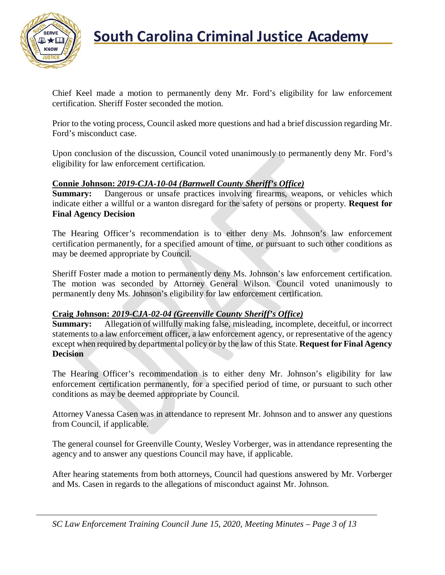

Chief Keel made a motion to permanently deny Mr. Ford's eligibility for law enforcement certification. Sheriff Foster seconded the motion.

Prior to the voting process, Council asked more questions and had a brief discussion regarding Mr. Ford's misconduct case.

Upon conclusion of the discussion, Council voted unanimously to permanently deny Mr. Ford's eligibility for law enforcement certification.

### **Connie Johnson:** *2019-CJA-10-04 (Barnwell County Sheriff's Office)*

**Summary:** Dangerous or unsafe practices involving firearms, weapons, or vehicles which indicate either a willful or a wanton disregard for the safety of persons or property. **Request for Final Agency Decision**

The Hearing Officer's recommendation is to either deny Ms. Johnson's law enforcement certification permanently, for a specified amount of time, or pursuant to such other conditions as may be deemed appropriate by Council.

Sheriff Foster made a motion to permanently deny Ms. Johnson's law enforcement certification. The motion was seconded by Attorney General Wilson. Council voted unanimously to permanently deny Ms. Johnson's eligibility for law enforcement certification.

#### **Craig Johnson:** *2019-CJA-02-04 (Greenville County Sheriff's Office)*

**Summary:** Allegation of willfully making false, misleading, incomplete, deceitful, or incorrect statements to a law enforcement officer, a law enforcement agency, or representative of the agency except when required by departmental policy or by the law of this State. **Request for Final Agency Decision**

The Hearing Officer's recommendation is to either deny Mr. Johnson's eligibility for law enforcement certification permanently, for a specified period of time, or pursuant to such other conditions as may be deemed appropriate by Council.

Attorney Vanessa Casen was in attendance to represent Mr. Johnson and to answer any questions from Council, if applicable.

The general counsel for Greenville County, Wesley Vorberger, was in attendance representing the agency and to answer any questions Council may have, if applicable.

After hearing statements from both attorneys, Council had questions answered by Mr. Vorberger and Ms. Casen in regards to the allegations of misconduct against Mr. Johnson.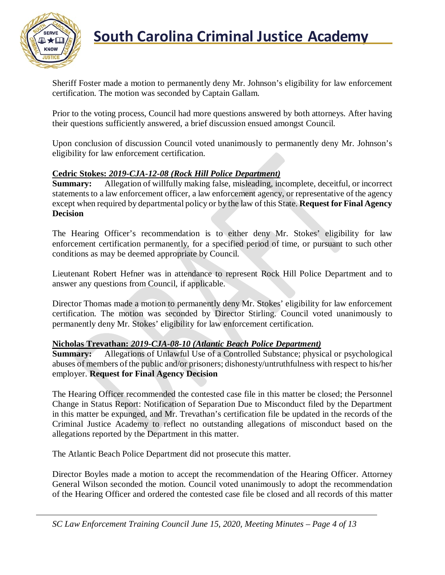

Sheriff Foster made a motion to permanently deny Mr. Johnson's eligibility for law enforcement certification. The motion was seconded by Captain Gallam.

Prior to the voting process, Council had more questions answered by both attorneys. After having their questions sufficiently answered, a brief discussion ensued amongst Council.

Upon conclusion of discussion Council voted unanimously to permanently deny Mr. Johnson's eligibility for law enforcement certification.

#### **Cedric Stokes:** *2019-CJA-12-08 (Rock Hill Police Department)*

**Summary:** Allegation of willfully making false, misleading, incomplete, deceitful, or incorrect statements to a law enforcement officer, a law enforcement agency, or representative of the agency except when required by departmental policy or by the law of this State. **Request for Final Agency Decision**

The Hearing Officer's recommendation is to either deny Mr. Stokes' eligibility for law enforcement certification permanently, for a specified period of time, or pursuant to such other conditions as may be deemed appropriate by Council.

Lieutenant Robert Hefner was in attendance to represent Rock Hill Police Department and to answer any questions from Council, if applicable.

Director Thomas made a motion to permanently deny Mr. Stokes' eligibility for law enforcement certification. The motion was seconded by Director Stirling. Council voted unanimously to permanently deny Mr. Stokes' eligibility for law enforcement certification.

#### **Nicholas Trevathan:** *2019-CJA-08-10 (Atlantic Beach Police Department)*

**Summary:** Allegations of Unlawful Use of a Controlled Substance; physical or psychological abuses of members of the public and/or prisoners; dishonesty/untruthfulness with respect to his/her employer. **Request for Final Agency Decision**

The Hearing Officer recommended the contested case file in this matter be closed; the Personnel Change in Status Report: Notification of Separation Due to Misconduct filed by the Department in this matter be expunged, and Mr. Trevathan's certification file be updated in the records of the Criminal Justice Academy to reflect no outstanding allegations of misconduct based on the allegations reported by the Department in this matter.

The Atlantic Beach Police Department did not prosecute this matter.

Director Boyles made a motion to accept the recommendation of the Hearing Officer. Attorney General Wilson seconded the motion. Council voted unanimously to adopt the recommendation of the Hearing Officer and ordered the contested case file be closed and all records of this matter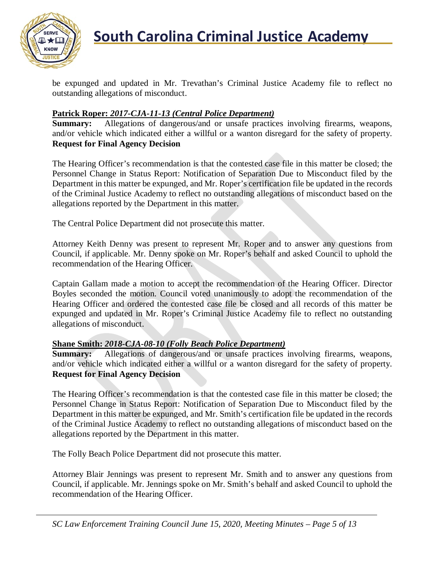

be expunged and updated in Mr. Trevathan's Criminal Justice Academy file to reflect no outstanding allegations of misconduct.

#### **Patrick Roper:** *2017-CJA-11-13 (Central Police Department)*

**Summary:** Allegations of dangerous/and or unsafe practices involving firearms, weapons, and/or vehicle which indicated either a willful or a wanton disregard for the safety of property. **Request for Final Agency Decision**

The Hearing Officer's recommendation is that the contested case file in this matter be closed; the Personnel Change in Status Report: Notification of Separation Due to Misconduct filed by the Department in this matter be expunged, and Mr. Roper's certification file be updated in the records of the Criminal Justice Academy to reflect no outstanding allegations of misconduct based on the allegations reported by the Department in this matter.

The Central Police Department did not prosecute this matter.

Attorney Keith Denny was present to represent Mr. Roper and to answer any questions from Council, if applicable. Mr. Denny spoke on Mr. Roper's behalf and asked Council to uphold the recommendation of the Hearing Officer.

Captain Gallam made a motion to accept the recommendation of the Hearing Officer. Director Boyles seconded the motion. Council voted unanimously to adopt the recommendation of the Hearing Officer and ordered the contested case file be closed and all records of this matter be expunged and updated in Mr. Roper's Criminal Justice Academy file to reflect no outstanding allegations of misconduct.

#### **Shane Smith:** *2018-CJA-08-10 (Folly Beach Police Department)*

**Summary:** Allegations of dangerous/and or unsafe practices involving firearms, weapons, and/or vehicle which indicated either a willful or a wanton disregard for the safety of property. **Request for Final Agency Decision**

The Hearing Officer's recommendation is that the contested case file in this matter be closed; the Personnel Change in Status Report: Notification of Separation Due to Misconduct filed by the Department in this matter be expunged, and Mr. Smith's certification file be updated in the records of the Criminal Justice Academy to reflect no outstanding allegations of misconduct based on the allegations reported by the Department in this matter.

The Folly Beach Police Department did not prosecute this matter.

Attorney Blair Jennings was present to represent Mr. Smith and to answer any questions from Council, if applicable. Mr. Jennings spoke on Mr. Smith's behalf and asked Council to uphold the recommendation of the Hearing Officer.

*SC Law Enforcement Training Council June 15, 2020, Meeting Minutes – Page 5 of 13*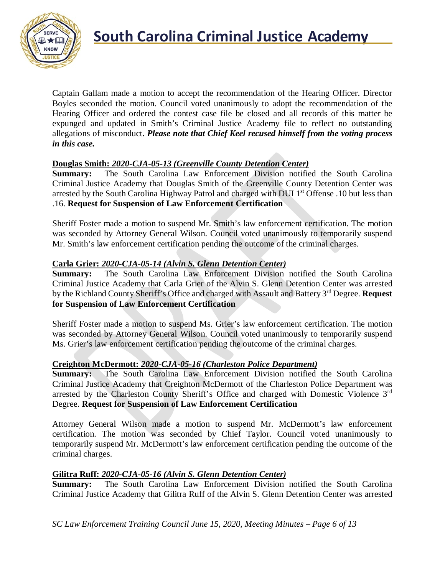

Captain Gallam made a motion to accept the recommendation of the Hearing Officer. Director Boyles seconded the motion. Council voted unanimously to adopt the recommendation of the Hearing Officer and ordered the contest case file be closed and all records of this matter be expunged and updated in Smith's Criminal Justice Academy file to reflect no outstanding allegations of misconduct. *Please note that Chief Keel recused himself from the voting process in this case.*

### **Douglas Smith:** *2020-CJA-05-13 (Greenville County Detention Center)*

**Summary:** The South Carolina Law Enforcement Division notified the South Carolina Criminal Justice Academy that Douglas Smith of the Greenville County Detention Center was arrested by the South Carolina Highway Patrol and charged with DUI 1<sup>st</sup> Offense .10 but less than .16. **Request for Suspension of Law Enforcement Certification**

Sheriff Foster made a motion to suspend Mr. Smith's law enforcement certification. The motion was seconded by Attorney General Wilson. Council voted unanimously to temporarily suspend Mr. Smith's law enforcement certification pending the outcome of the criminal charges.

### **Carla Grier:** *2020-CJA-05-14 (Alvin S. Glenn Detention Center)*

**Summary:** The South Carolina Law Enforcement Division notified the South Carolina Criminal Justice Academy that Carla Grier of the Alvin S. Glenn Detention Center was arrested by the Richland County Sheriff's Office and charged with Assault and Battery 3rd Degree. **Request for Suspension of Law Enforcement Certification**

Sheriff Foster made a motion to suspend Ms. Grier's law enforcement certification. The motion was seconded by Attorney General Wilson. Council voted unanimously to temporarily suspend Ms. Grier's law enforcement certification pending the outcome of the criminal charges.

#### **Creighton McDermott:** *2020-CJA-05-16 (Charleston Police Department)*

**Summary:** The South Carolina Law Enforcement Division notified the South Carolina Criminal Justice Academy that Creighton McDermott of the Charleston Police Department was arrested by the Charleston County Sheriff's Office and charged with Domestic Violence 3<sup>rd</sup> Degree. **Request for Suspension of Law Enforcement Certification**

Attorney General Wilson made a motion to suspend Mr. McDermott's law enforcement certification. The motion was seconded by Chief Taylor. Council voted unanimously to temporarily suspend Mr. McDermott's law enforcement certification pending the outcome of the criminal charges.

#### **Gilitra Ruff:** *2020-CJA-05-16 (Alvin S. Glenn Detention Center)*

**Summary:** The South Carolina Law Enforcement Division notified the South Carolina Criminal Justice Academy that Gilitra Ruff of the Alvin S. Glenn Detention Center was arrested

*SC Law Enforcement Training Council June 15, 2020, Meeting Minutes – Page 6 of 13*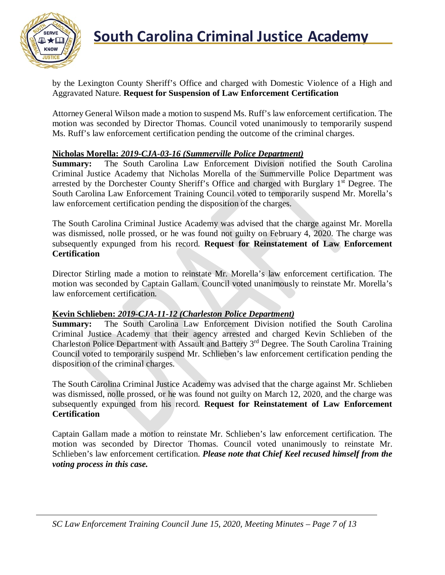

by the Lexington County Sheriff's Office and charged with Domestic Violence of a High and Aggravated Nature. **Request for Suspension of Law Enforcement Certification**

Attorney General Wilson made a motion to suspend Ms. Ruff's law enforcement certification. The motion was seconded by Director Thomas. Council voted unanimously to temporarily suspend Ms. Ruff's law enforcement certification pending the outcome of the criminal charges.

### **Nicholas Morella:** *2019-CJA-03-16 (Summerville Police Department)*

**Summary:** The South Carolina Law Enforcement Division notified the South Carolina Criminal Justice Academy that Nicholas Morella of the Summerville Police Department was arrested by the Dorchester County Sheriff's Office and charged with Burglary 1<sup>st</sup> Degree. The South Carolina Law Enforcement Training Council voted to temporarily suspend Mr. Morella's law enforcement certification pending the disposition of the charges.

The South Carolina Criminal Justice Academy was advised that the charge against Mr. Morella was dismissed, nolle prossed, or he was found not guilty on February 4, 2020. The charge was subsequently expunged from his record. **Request for Reinstatement of Law Enforcement Certification**

Director Stirling made a motion to reinstate Mr. Morella's law enforcement certification. The motion was seconded by Captain Gallam. Council voted unanimously to reinstate Mr. Morella's law enforcement certification.

### **Kevin Schlieben:** *2019-CJA-11-12 (Charleston Police Department)*

**Summary:** The South Carolina Law Enforcement Division notified the South Carolina Criminal Justice Academy that their agency arrested and charged Kevin Schlieben of the Charleston Police Department with Assault and Battery 3rd Degree. The South Carolina Training Council voted to temporarily suspend Mr. Schlieben's law enforcement certification pending the disposition of the criminal charges.

The South Carolina Criminal Justice Academy was advised that the charge against Mr. Schlieben was dismissed, nolle prossed, or he was found not guilty on March 12, 2020, and the charge was subsequently expunged from his record. **Request for Reinstatement of Law Enforcement Certification**

Captain Gallam made a motion to reinstate Mr. Schlieben's law enforcement certification. The motion was seconded by Director Thomas. Council voted unanimously to reinstate Mr. Schlieben's law enforcement certification. *Please note that Chief Keel recused himself from the voting process in this case.*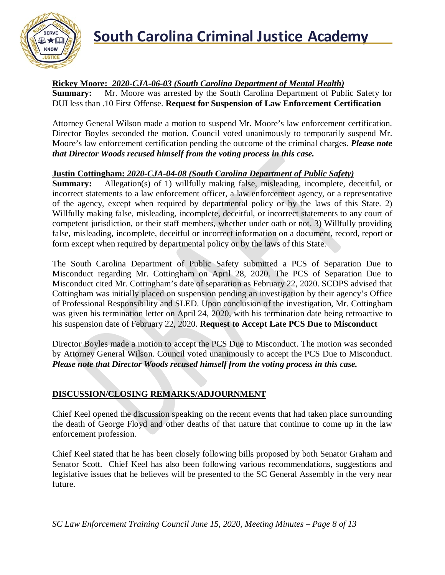

### **Rickey Moore:** *2020-CJA-06-03 (South Carolina Department of Mental Health)*

**Summary:** Mr. Moore was arrested by the South Carolina Department of Public Safety for DUI less than .10 First Offense. **Request for Suspension of Law Enforcement Certification**

Attorney General Wilson made a motion to suspend Mr. Moore's law enforcement certification. Director Boyles seconded the motion. Council voted unanimously to temporarily suspend Mr. Moore's law enforcement certification pending the outcome of the criminal charges. *Please note that Director Woods recused himself from the voting process in this case.*

### **Justin Cottingham:** *2020-CJA-04-08 (South Carolina Department of Public Safety)*

**Summary:** Allegation(s) of 1) willfully making false, misleading, incomplete, deceitful, or incorrect statements to a law enforcement officer, a law enforcement agency, or a representative of the agency, except when required by departmental policy or by the laws of this State. 2) Willfully making false, misleading, incomplete, deceitful, or incorrect statements to any court of competent jurisdiction, or their staff members, whether under oath or not. 3) Willfully providing false, misleading, incomplete, deceitful or incorrect information on a document, record, report or form except when required by departmental policy or by the laws of this State.

The South Carolina Department of Public Safety submitted a PCS of Separation Due to Misconduct regarding Mr. Cottingham on April 28, 2020. The PCS of Separation Due to Misconduct cited Mr. Cottingham's date of separation as February 22, 2020. SCDPS advised that Cottingham was initially placed on suspension pending an investigation by their agency's Office of Professional Responsibility and SLED. Upon conclusion of the investigation, Mr. Cottingham was given his termination letter on April 24, 2020, with his termination date being retroactive to his suspension date of February 22, 2020. **Request to Accept Late PCS Due to Misconduct**

Director Boyles made a motion to accept the PCS Due to Misconduct. The motion was seconded by Attorney General Wilson. Council voted unanimously to accept the PCS Due to Misconduct. *Please note that Director Woods recused himself from the voting process in this case.*

### **DISCUSSION/CLOSING REMARKS/ADJOURNMENT**

Chief Keel opened the discussion speaking on the recent events that had taken place surrounding the death of George Floyd and other deaths of that nature that continue to come up in the law enforcement profession.

Chief Keel stated that he has been closely following bills proposed by both Senator Graham and Senator Scott. Chief Keel has also been following various recommendations, suggestions and legislative issues that he believes will be presented to the SC General Assembly in the very near future.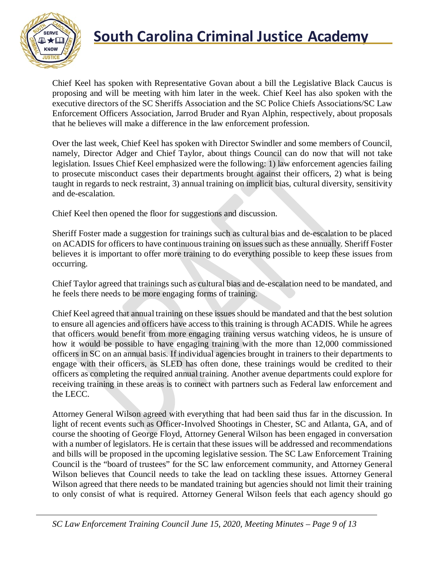

Chief Keel has spoken with Representative Govan about a bill the Legislative Black Caucus is proposing and will be meeting with him later in the week. Chief Keel has also spoken with the executive directors of the SC Sheriffs Association and the SC Police Chiefs Associations/SC Law Enforcement Officers Association, Jarrod Bruder and Ryan Alphin, respectively, about proposals that he believes will make a difference in the law enforcement profession.

Over the last week, Chief Keel has spoken with Director Swindler and some members of Council, namely, Director Adger and Chief Taylor, about things Council can do now that will not take legislation. Issues Chief Keel emphasized were the following: 1) law enforcement agencies failing to prosecute misconduct cases their departments brought against their officers, 2) what is being taught in regards to neck restraint, 3) annual training on implicit bias, cultural diversity, sensitivity and de-escalation.

Chief Keel then opened the floor for suggestions and discussion.

Sheriff Foster made a suggestion for trainings such as cultural bias and de-escalation to be placed on ACADIS for officers to have continuous training on issues such as these annually. Sheriff Foster believes it is important to offer more training to do everything possible to keep these issues from occurring.

Chief Taylor agreed that trainings such as cultural bias and de-escalation need to be mandated, and he feels there needs to be more engaging forms of training.

Chief Keel agreed that annual training on these issues should be mandated and that the best solution to ensure all agencies and officers have access to this training is through ACADIS. While he agrees that officers would benefit from more engaging training versus watching videos, he is unsure of how it would be possible to have engaging training with the more than 12,000 commissioned officers in SC on an annual basis. If individual agencies brought in trainers to their departments to engage with their officers, as SLED has often done, these trainings would be credited to their officers as completing the required annual training. Another avenue departments could explore for receiving training in these areas is to connect with partners such as Federal law enforcement and the LECC.

Attorney General Wilson agreed with everything that had been said thus far in the discussion. In light of recent events such as Officer-Involved Shootings in Chester, SC and Atlanta, GA, and of course the shooting of George Floyd, Attorney General Wilson has been engaged in conversation with a number of legislators. He is certain that these issues will be addressed and recommendations and bills will be proposed in the upcoming legislative session. The SC Law Enforcement Training Council is the "board of trustees" for the SC law enforcement community, and Attorney General Wilson believes that Council needs to take the lead on tackling these issues. Attorney General Wilson agreed that there needs to be mandated training but agencies should not limit their training to only consist of what is required. Attorney General Wilson feels that each agency should go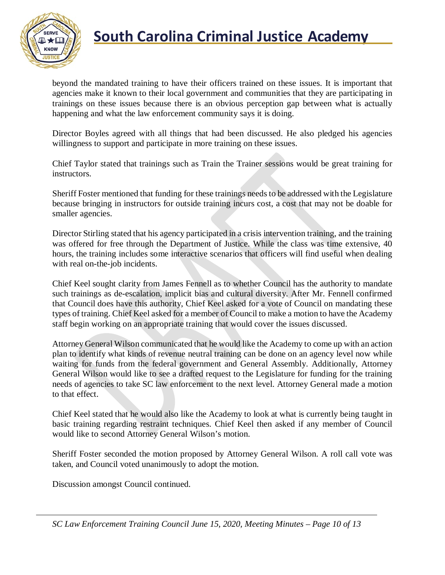

beyond the mandated training to have their officers trained on these issues. It is important that agencies make it known to their local government and communities that they are participating in trainings on these issues because there is an obvious perception gap between what is actually happening and what the law enforcement community says it is doing.

Director Boyles agreed with all things that had been discussed. He also pledged his agencies willingness to support and participate in more training on these issues.

Chief Taylor stated that trainings such as Train the Trainer sessions would be great training for instructors.

Sheriff Foster mentioned that funding for these trainings needs to be addressed with the Legislature because bringing in instructors for outside training incurs cost, a cost that may not be doable for smaller agencies.

Director Stirling stated that his agency participated in a crisis intervention training, and the training was offered for free through the Department of Justice. While the class was time extensive, 40 hours, the training includes some interactive scenarios that officers will find useful when dealing with real on-the-job incidents.

Chief Keel sought clarity from James Fennell as to whether Council has the authority to mandate such trainings as de-escalation, implicit bias and cultural diversity. After Mr. Fennell confirmed that Council does have this authority, Chief Keel asked for a vote of Council on mandating these types of training. Chief Keel asked for a member of Council to make a motion to have the Academy staff begin working on an appropriate training that would cover the issues discussed.

Attorney General Wilson communicated that he would like the Academy to come up with an action plan to identify what kinds of revenue neutral training can be done on an agency level now while waiting for funds from the federal government and General Assembly. Additionally, Attorney General Wilson would like to see a drafted request to the Legislature for funding for the training needs of agencies to take SC law enforcement to the next level. Attorney General made a motion to that effect.

Chief Keel stated that he would also like the Academy to look at what is currently being taught in basic training regarding restraint techniques. Chief Keel then asked if any member of Council would like to second Attorney General Wilson's motion.

Sheriff Foster seconded the motion proposed by Attorney General Wilson. A roll call vote was taken, and Council voted unanimously to adopt the motion.

Discussion amongst Council continued.

*SC Law Enforcement Training Council June 15, 2020, Meeting Minutes – Page 10 of 13*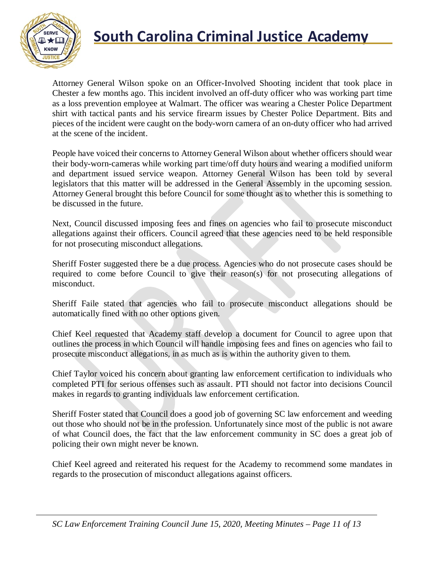

Attorney General Wilson spoke on an Officer-Involved Shooting incident that took place in Chester a few months ago. This incident involved an off-duty officer who was working part time as a loss prevention employee at Walmart. The officer was wearing a Chester Police Department shirt with tactical pants and his service firearm issues by Chester Police Department. Bits and pieces of the incident were caught on the body-worn camera of an on-duty officer who had arrived at the scene of the incident.

People have voiced their concerns to Attorney General Wilson about whether officers should wear their body-worn-cameras while working part time/off duty hours and wearing a modified uniform and department issued service weapon. Attorney General Wilson has been told by several legislators that this matter will be addressed in the General Assembly in the upcoming session. Attorney General brought this before Council for some thought as to whether this is something to be discussed in the future.

Next, Council discussed imposing fees and fines on agencies who fail to prosecute misconduct allegations against their officers. Council agreed that these agencies need to be held responsible for not prosecuting misconduct allegations.

Sheriff Foster suggested there be a due process. Agencies who do not prosecute cases should be required to come before Council to give their reason(s) for not prosecuting allegations of misconduct.

Sheriff Faile stated that agencies who fail to prosecute misconduct allegations should be automatically fined with no other options given.

Chief Keel requested that Academy staff develop a document for Council to agree upon that outlines the process in which Council will handle imposing fees and fines on agencies who fail to prosecute misconduct allegations, in as much as is within the authority given to them.

Chief Taylor voiced his concern about granting law enforcement certification to individuals who completed PTI for serious offenses such as assault. PTI should not factor into decisions Council makes in regards to granting individuals law enforcement certification.

Sheriff Foster stated that Council does a good job of governing SC law enforcement and weeding out those who should not be in the profession. Unfortunately since most of the public is not aware of what Council does, the fact that the law enforcement community in SC does a great job of policing their own might never be known.

Chief Keel agreed and reiterated his request for the Academy to recommend some mandates in regards to the prosecution of misconduct allegations against officers.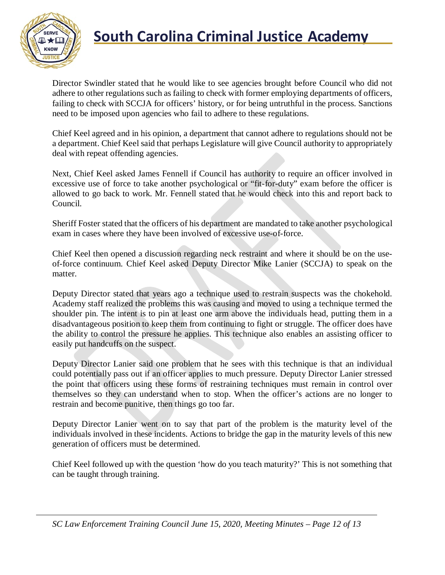

Director Swindler stated that he would like to see agencies brought before Council who did not adhere to other regulations such as failing to check with former employing departments of officers, failing to check with SCCJA for officers' history, or for being untruthful in the process. Sanctions need to be imposed upon agencies who fail to adhere to these regulations.

Chief Keel agreed and in his opinion, a department that cannot adhere to regulations should not be a department. Chief Keel said that perhaps Legislature will give Council authority to appropriately deal with repeat offending agencies.

Next, Chief Keel asked James Fennell if Council has authority to require an officer involved in excessive use of force to take another psychological or "fit-for-duty" exam before the officer is allowed to go back to work. Mr. Fennell stated that he would check into this and report back to Council.

Sheriff Foster stated that the officers of his department are mandated to take another psychological exam in cases where they have been involved of excessive use-of-force.

Chief Keel then opened a discussion regarding neck restraint and where it should be on the useof-force continuum. Chief Keel asked Deputy Director Mike Lanier (SCCJA) to speak on the matter.

Deputy Director stated that years ago a technique used to restrain suspects was the chokehold. Academy staff realized the problems this was causing and moved to using a technique termed the shoulder pin. The intent is to pin at least one arm above the individuals head, putting them in a disadvantageous position to keep them from continuing to fight or struggle. The officer does have the ability to control the pressure he applies. This technique also enables an assisting officer to easily put handcuffs on the suspect.

Deputy Director Lanier said one problem that he sees with this technique is that an individual could potentially pass out if an officer applies to much pressure. Deputy Director Lanier stressed the point that officers using these forms of restraining techniques must remain in control over themselves so they can understand when to stop. When the officer's actions are no longer to restrain and become punitive, then things go too far.

Deputy Director Lanier went on to say that part of the problem is the maturity level of the individuals involved in these incidents. Actions to bridge the gap in the maturity levels of this new generation of officers must be determined.

Chief Keel followed up with the question 'how do you teach maturity?' This is not something that can be taught through training.

*SC Law Enforcement Training Council June 15, 2020, Meeting Minutes – Page 12 of 13*